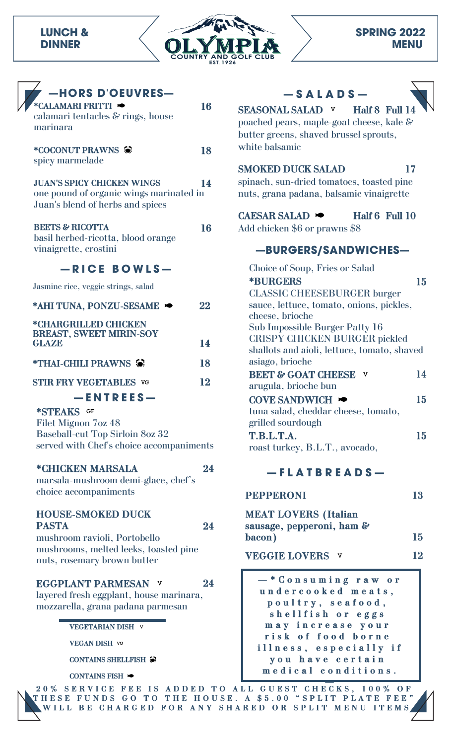### **LUNCH & DINNER**



| <b>THORS D'OEUVRES—</b>           |  |
|-----------------------------------|--|
| $\star$ CALAMARI FRITTI $\bullet$ |  |

| calamari tentacles $\&$ rings, house<br>marinara                                                                 |    |
|------------------------------------------------------------------------------------------------------------------|----|
| *COCONUT PRAWNS<br>spicy marmelade                                                                               | 18 |
| <b>JUAN'S SPICY CHICKEN WINGS</b><br>one pound of organic wings marinated in<br>Juan's blend of herbs and spices | 14 |
| <b>BEETS &amp; RICOTTA</b><br>basil herbed-ricotta, blood orange<br>vinaigrette, crostini                        | 16 |

#### **— R I C E B O W L S —**

Jasmine rice, veggie strings, salad

| *AHI TUNA, PONZU-SESAME                                | 22 |
|--------------------------------------------------------|----|
| *CHARGRILLED CHICKEN<br><b>BREAST, SWEET MIRIN-SOY</b> |    |
| <b>GLAZE</b>                                           | 14 |
| *THAI-CHILI PRAWNS 编                                   | 18 |
| <b>STIR FRY VEGETABLES VG</b>                          | 12 |
| $-$ ENTREES $-$                                        |    |

#### **\*STEAKS**

Filet Mignon 7oz 48 Baseball-cut Top Sirloin 8oz 32 served with Chef's choice accompaniments

#### **\*CHICKEN MARSALA 24**

marsala-mushroom demi-glace, chef's choice accompaniments

#### **HOUSE-SMOKED DUCK PASTA 24**

mushroom ravioli, Portobello mushrooms, melted leeks, toasted pine nuts, rosemary brown butter

#### **EGGPLANT PARMESAN 24**

layered fresh eggplant, house marinara, mozzarella, grana padana parmesan

**VEGETARIAN DISH**

**VEGAN DISH**

**CONTAINS SHELLFISH**

**CONTAINS FISH**





**SEASONAL SALAD v Half 8 Full 14** poached pears, maple-goat cheese, kale & butter greens, shaved brussel sprouts, white balsamic

## **SMOKED DUCK SALAD 17**

spinach, sun-dried tomatoes, toasted pine nuts, grana padana, balsamic vinaigrette

## **CAESAR SALAD A Half 6 Full** 10

Add chicken \$6 or prawns \$8

## **—BURGERS/SANDWICHES—**

| Choice of Soup, Fries or Salad              |    |
|---------------------------------------------|----|
| <b>*BURGERS</b>                             | 15 |
| <b>CLASSIC CHEESEBURGER burger</b>          |    |
| sauce, lettuce, tomato, onions, pickles,    |    |
| cheese, brioche                             |    |
| Sub Impossible Burger Patty 16              |    |
| <b>CRISPY CHICKEN BURGER pickled</b>        |    |
| shallots and aioli, lettuce, tomato, shaved |    |
| asiago, brioche                             |    |
| <b>BEET &amp; GOAT CHEESE</b><br>v          | 14 |
| arugula, brioche bun                        |    |
| COVE SANDWICH $\blacktriangleright$         | 15 |
| tuna salad, cheddar cheese, tomato,         |    |
| grilled sourdough                           |    |
| T.B.L.T.A.                                  | 15 |
| roast turkey, B.L.T., avocado,              |    |
|                                             |    |

### **— F L A T B R E A D S —**

| <b>PEPPERONI</b> |  |
|------------------|--|
|------------------|--|

| <b>MEAT LOVERS (Italian</b> |    |
|-----------------------------|----|
| sausage, pepperoni, ham &   |    |
| bacon)                      | 15 |

**VEGGIE LOVERS 12**

**— \* C o n s u m i n g r a w o r u n d e r c o o k e d m e a t s , p o u l t r y , s e a f o o d , s h e l l f i s h o r e g g s m a y i n c r e a s e y o u r r i s k o f f o o d b o r n e i l l n e s s , e s p e c i a l l y i f y o u h a v e c e r t a i n m e d i c a l c o n d i t i o n s .**

**—** 20% SERVICE FEE IS ADDED TO ALL GUEST CHECKS, 100% OF THESE FUNDS GO TO THE HOUSE. A \$5.00 "SPLIT PLATE FEE" VILL BE CHARGED FOR ANY SHARED OR SPLIT MENU ITEMS